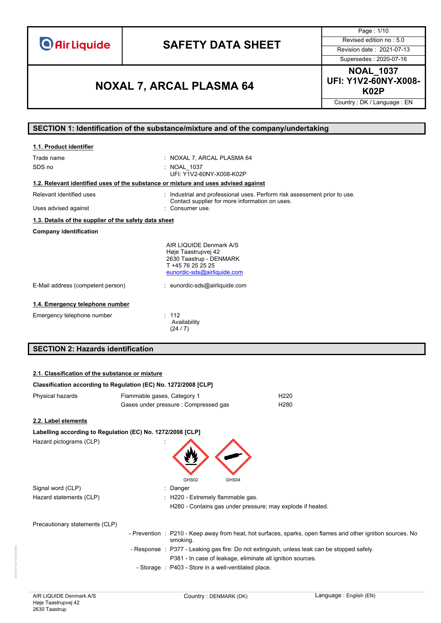# **SAFETY DATA SHEET** Revised edition no : 5.0

Page : 1/10 Supersedes : 2020-07-16

**NOAL\_1037 UFI: Y1V2-60NY-X008- K02P NOXAL 7, ARCAL PLASMA 64**

Country : DK / Language : EN

## **SECTION 1: Identification of the substance/mixture and of the company/undertaking**

| 1.1. Product identifier                                                            |                                                                                                                                           |
|------------------------------------------------------------------------------------|-------------------------------------------------------------------------------------------------------------------------------------------|
| Trade name<br>SDS no                                                               | : NOXAL 7, ARCAL PLASMA 64<br>: NOAL 1037<br>UFI: Y1V2-60NY-X008-K02P                                                                     |
| 1.2. Relevant identified uses of the substance or mixture and uses advised against |                                                                                                                                           |
| Relevant identified uses<br>Uses advised against                                   | Industrial and professional uses. Perform risk assessment prior to use.<br>Contact supplier for more information on uses.<br>Consumer use |
| 1.3. Details of the supplier of the safety data sheet                              |                                                                                                                                           |
| <b>Company identification</b>                                                      |                                                                                                                                           |
|                                                                                    | AIR LIQUIDE Denmark A/S<br>Høje Taastrupvej 42<br>2630 Taastrup - DENMARK<br>T +45 76 25 25 25<br>eunordic-sds@airliquide.com             |
| E-Mail address (competent person)                                                  | : eunordic-sds@airliquide.com                                                                                                             |
| 1.4. Emergency telephone number                                                    |                                                                                                                                           |
| Emergency telephone number                                                         | : 112<br>Availability<br>(24/7)                                                                                                           |
| <b>SECTION 2: Hazards identification</b>                                           |                                                                                                                                           |

# **Classification according to Regulation (EC) No. 1272/2008 [CLP]** Physical hazards **Flammable gases, Category 1** Flammable gases, Category 1 Gases under pressure : Compressed gas H280 **2.2. Label elements Labelling according to Regulation (EC) No. 1272/2008 [CLP]** Hazard pictograms (CLP) : GHS02 GHS04 Signal word (CLP)  $\qquad \qquad$ : Danger Hazard statements (CLP)  $\qquad \qquad$  : H220 - Extremely flammable gas. H280 - Contains gas under pressure; may explode if heated. Precautionary statements (CLP) - Prevention : P210 - Keep away from heat, hot surfaces, sparks, open flames and other ignition sources. No smoking. - Response : P377 - Leaking gas fire: Do not extinguish, unless leak can be stopped safely. P381 - In case of leakage, eliminate all ignition sources. - Storage : P403 - Store in a well-ventilated place. **2.1. Classification of the substance or mixture**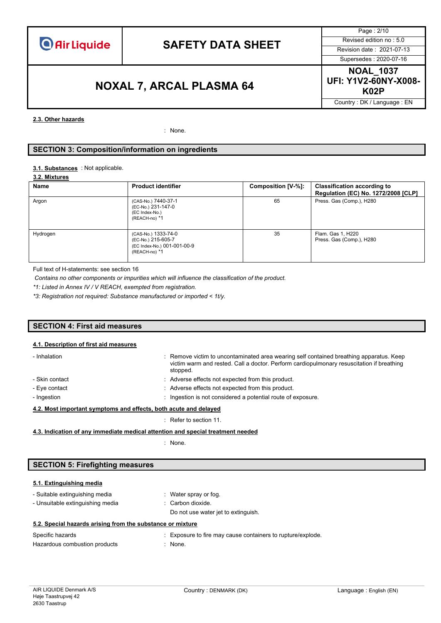Page : 2/10 Supersedes : 2020-07-16

# **K02P NOXAL 7, ARCAL PLASMA 64**

**NOAL\_1037 UFI: Y1V2-60NY-X008-**

Country : DK / Language : EN

#### **2.3. Other hazards**

: None.

### **SECTION 3: Composition/information on ingredients**

#### : Not applicable. **3.1. Substances**

#### **3.2. Mixtures**

| Name     | <b>Product identifier</b>                                                                 | Composition [V-%]: | <b>Classification according to</b><br>Regulation (EC) No. 1272/2008 [CLP] |
|----------|-------------------------------------------------------------------------------------------|--------------------|---------------------------------------------------------------------------|
| Argon    | (CAS-No.) 7440-37-1<br>(EC-No.) 231-147-0<br>(EC Index-No.)<br>(REACH-no) *1              | 65                 | Press. Gas (Comp.), H280                                                  |
| Hydrogen | (CAS-No.) 1333-74-0<br>(EC-No.) 215-605-7<br>(EC Index-No.) 001-001-00-9<br>(REACH-no) *1 | 35                 | Flam. Gas 1, H220<br>Press. Gas (Comp.), H280                             |

Full text of H-statements: see section 16

*Contains no other components or impurities which will influence the classification of the product.*

*\*1: Listed in Annex IV / V REACH, exempted from registration.*

*\*3: Registration not required: Substance manufactured or imported < 1t/y.*

### **SECTION 4: First aid measures**

#### **4.1. Description of first aid measures**

| - Inhalation                                                     | : Remove victim to uncontaminated area wearing self contained breathing apparatus. Keep<br>victim warm and rested. Call a doctor. Perform cardiopulmonary resuscitation if breathing<br>stopped. |  |
|------------------------------------------------------------------|--------------------------------------------------------------------------------------------------------------------------------------------------------------------------------------------------|--|
| - Skin contact                                                   | : Adverse effects not expected from this product.                                                                                                                                                |  |
| - Eye contact                                                    | : Adverse effects not expected from this product.                                                                                                                                                |  |
| - Ingestion                                                      | : Ingestion is not considered a potential route of exposure.                                                                                                                                     |  |
| 4.2. Most important symptoms and effects, both acute and delayed |                                                                                                                                                                                                  |  |

: Refer to section 11.

**4.3. Indication of any immediate medical attention and special treatment needed**

: None.

### **SECTION 5: Firefighting measures**

### **5.1. Extinguishing media**

- Suitable extinguishing media : Water spray or fog. - Unsuitable extinguishing media : Carbon dioxide.
	- Do not use water jet to extinguish.

### **5.2. Special hazards arising from the substance or mixture**

| Specific hazards              | : Exposure to fire may cause containers to rupture/explode. |
|-------------------------------|-------------------------------------------------------------|
| Hazardous combustion products | : None.                                                     |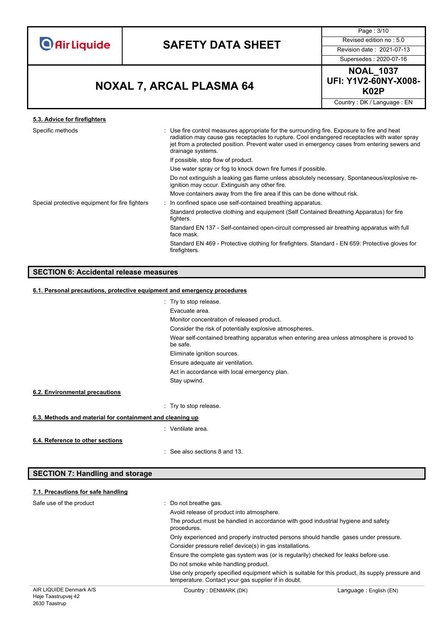

Page : 3/10

Supersedes : 2020-07-16

**NOAL\_1037 UFI: Y1V2-60NY-X008-**

Country : DK / Language : EN

# **K02P NOXAL 7, ARCAL PLASMA 64**

| 5.3. Advice for firefighters                   |                                                                                                                                                                                                                                                                                                                   |
|------------------------------------------------|-------------------------------------------------------------------------------------------------------------------------------------------------------------------------------------------------------------------------------------------------------------------------------------------------------------------|
| Specific methods                               | : Use fire control measures appropriate for the surrounding fire. Exposure to fire and heat<br>radiation may cause gas receptacles to rupture. Cool endangered receptacles with water spray<br>jet from a protected position. Prevent water used in emergency cases from entering sewers and<br>drainage systems. |
|                                                | If possible, stop flow of product.                                                                                                                                                                                                                                                                                |
|                                                | Use water spray or fog to knock down fire fumes if possible.                                                                                                                                                                                                                                                      |
|                                                | Do not extinguish a leaking gas flame unless absolutely necessary. Spontaneous/explosive re-<br>ignition may occur. Extinguish any other fire.                                                                                                                                                                    |
|                                                | Move containers away from the fire area if this can be done without risk.                                                                                                                                                                                                                                         |
| Special protective equipment for fire fighters | In confined space use self-contained breathing apparatus.                                                                                                                                                                                                                                                         |
|                                                | Standard protective clothing and equipment (Self Contained Breathing Apparatus) for fire<br>fighters.                                                                                                                                                                                                             |
|                                                | Standard EN 137 - Self-contained open-circuit compressed air breathing apparatus with full<br>face mask.                                                                                                                                                                                                          |
|                                                | Standard EN 469 - Protective clothing for firefighters. Standard - EN 659: Protective gloves for<br>firefighters.                                                                                                                                                                                                 |
|                                                |                                                                                                                                                                                                                                                                                                                   |

## **SECTION 6: Accidental release measures**

#### **6.1. Personal precautions, protective equipment and emergency procedures**

|                                                           | : Try to stop release.                                                                                |  |
|-----------------------------------------------------------|-------------------------------------------------------------------------------------------------------|--|
|                                                           | Evacuate area.                                                                                        |  |
|                                                           | Monitor concentration of released product.                                                            |  |
|                                                           | Consider the risk of potentially explosive atmospheres.                                               |  |
|                                                           | Wear self-contained breathing apparatus when entering area unless atmosphere is proved to<br>be safe. |  |
|                                                           | Eliminate ignition sources.                                                                           |  |
|                                                           | Ensure adequate air ventilation.                                                                      |  |
|                                                           | Act in accordance with local emergency plan.                                                          |  |
|                                                           | Stay upwind.                                                                                          |  |
| 6.2. Environmental precautions                            |                                                                                                       |  |
|                                                           | : Try to stop release.                                                                                |  |
| 6.3. Methods and material for containment and cleaning up |                                                                                                       |  |
|                                                           | : Ventilate area.                                                                                     |  |
| 6.4. Reference to other sections                          | $\therefore$ See also sections 8 and 13.                                                              |  |

## **SECTION 7: Handling and storage**

# **7.1. Precautions for safe handling** Safe use of the product **interest in the set of the product**  $\cdot$  Do not breathe gas.

| R LIQUIDE Denmark A/S | Country: DENMARK (DK)                                                                                                                                    | Language : English (EN) |
|-----------------------|----------------------------------------------------------------------------------------------------------------------------------------------------------|-------------------------|
|                       | Use only properly specified equipment which is suitable for this product, its supply pressure and<br>temperature. Contact your gas supplier if in doubt. |                         |
|                       | Do not smoke while handling product.                                                                                                                     |                         |
|                       | Ensure the complete gas system was (or is regularily) checked for leaks before use.                                                                      |                         |
|                       | Consider pressure relief device(s) in gas installations.                                                                                                 |                         |
|                       | Only experienced and properly instructed persons should handle gases under pressure.                                                                     |                         |
|                       | The product must be handled in accordance with good industrial hygiene and safety<br>procedures.                                                         |                         |
|                       | Avoid release of product into atmosphere.                                                                                                                |                         |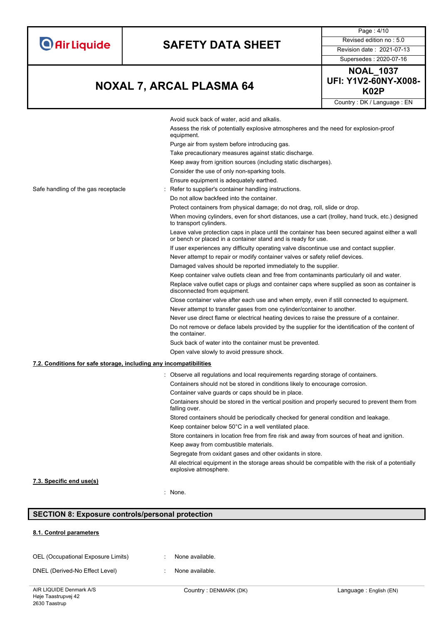|  | <b>O</b> Air Liquide |
|--|----------------------|
|  |                      |

Supersedes : 2020-07-16

Page : 4/10

# **K02P NOXAL 7, ARCAL PLASMA 64**

**NOAL\_1037 UFI: Y1V2-60NY-X008-**

Country : DK / Language : EN Avoid suck back of water, acid and alkalis. Assess the risk of potentially explosive atmospheres and the need for explosion-proof equipment. Purge air from system before introducing gas. Take precautionary measures against static discharge. Keep away from ignition sources (including static discharges). Consider the use of only non-sparking tools. Ensure equipment is adequately earthed. Safe handling of the gas receptacle : Refer to supplier's container handling instructions. Do not allow backfeed into the container. Protect containers from physical damage; do not drag, roll, slide or drop. When moving cylinders, even for short distances, use a cart (trolley, hand truck, etc.) designed to transport cylinders. Leave valve protection caps in place until the container has been secured against either a wall or bench or placed in a container stand and is ready for use. If user experiences any difficulty operating valve discontinue use and contact supplier. Never attempt to repair or modify container valves or safety relief devices. Damaged valves should be reported immediately to the supplier. Keep container valve outlets clean and free from contaminants particularly oil and water. Replace valve outlet caps or plugs and container caps where supplied as soon as container is disconnected from equipment. Close container valve after each use and when empty, even if still connected to equipment. Never attempt to transfer gases from one cylinder/container to another. Never use direct flame or electrical heating devices to raise the pressure of a container. Do not remove or deface labels provided by the supplier for the identification of the content of the container. Suck back of water into the container must be prevented. Open valve slowly to avoid pressure shock. **7.2. Conditions for safe storage, including any incompatibilities** : Observe all regulations and local requirements regarding storage of containers. Containers should not be stored in conditions likely to encourage corrosion. Container valve guards or caps should be in place. Containers should be stored in the vertical position and properly secured to prevent them from falling over. Stored containers should be periodically checked for general condition and leakage. Keep container below 50°C in a well ventilated place. Store containers in location free from fire risk and away from sources of heat and ignition. Keep away from combustible materials. Segregate from oxidant gases and other oxidants in store. All electrical equipment in the storage areas should be compatible with the risk of a potentially explosive atmosphere. **7.3. Specific end use(s)**

: None.

### **SECTION 8: Exposure controls/personal protection**

#### **8.1. Control parameters**

| OEL (Occupational Exposure Limits) |  | None available. |
|------------------------------------|--|-----------------|
|------------------------------------|--|-----------------|

DNEL (Derived-No Effect Level) : None available.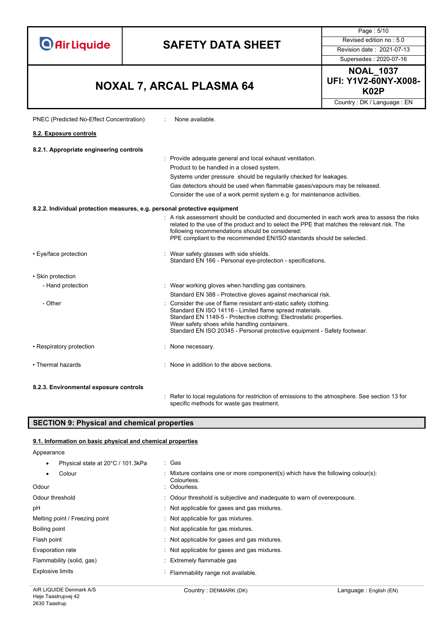**Air Liquide SAFETY DATA SHEET** Revised edition no : 5.0 **UFI: Y1V2-60NY-X008- K02P NOXAL 7, ARCAL PLASMA 64** PNEC (Predicted No-Effect Concentration) : None available. **8.2. Exposure controls8.2.1. Appropriate engineering controls** : Provide adequate general and local exhaust ventilation. Product to be handled in a closed system. Systems under pressure should be regularily checked for leakages.

#### **8.2.2. Individual protection measures, e.g. personal protective equipment**

| 8.2.2. Individual protection measures, e.g. personal protective equipment |                                                                                                                                                                                                                                                                                                                                  |
|---------------------------------------------------------------------------|----------------------------------------------------------------------------------------------------------------------------------------------------------------------------------------------------------------------------------------------------------------------------------------------------------------------------------|
|                                                                           | . A risk assessment should be conducted and documented in each work area to assess the risks<br>related to the use of the product and to select the PPE that matches the relevant risk. The<br>following recommendations should be considered:<br>PPE compliant to the recommended EN/ISO standards should be selected.          |
| • Eye/face protection                                                     | : Wear safety glasses with side shields.<br>Standard EN 166 - Personal eye-protection - specifications.                                                                                                                                                                                                                          |
| • Skin protection                                                         |                                                                                                                                                                                                                                                                                                                                  |
| - Hand protection                                                         | : Wear working gloves when handling gas containers.                                                                                                                                                                                                                                                                              |
|                                                                           | Standard EN 388 - Protective gloves against mechanical risk.                                                                                                                                                                                                                                                                     |
| - Other                                                                   | : Consider the use of flame resistant anti-static safety clothing.<br>Standard EN ISO 14116 - Limited flame spread materials.<br>Standard EN 1149-5 - Protective clothing: Electrostatic properties.<br>Wear safety shoes while handling containers.<br>Standard EN ISO 20345 - Personal protective equipment - Safety footwear. |
| • Respiratory protection                                                  | : None necessary.                                                                                                                                                                                                                                                                                                                |
| • Thermal hazards                                                         | : None in addition to the above sections.                                                                                                                                                                                                                                                                                        |
| 8.2.3. Environmental exposure controls                                    |                                                                                                                                                                                                                                                                                                                                  |

: Refer to local regulations for restriction of emissions to the atmosphere. See section 13 for specific methods for waste gas treatment.

Gas detectors should be used when flammable gases/vapours may be released. Consider the use of a work permit system e.g. for maintenance activities.

### **SECTION 9: Physical and chemical properties**

#### **9.1. Information on basic physical and chemical properties**

Appearance

| Physical state at 20°C / 101.3kPa | : Gas                                                                                          |
|-----------------------------------|------------------------------------------------------------------------------------------------|
| Colour                            | : Mixture contains one or more component(s) which have the following colour(s):<br>Colourless. |
| Odour                             | : Odourless.                                                                                   |
| Odour threshold                   | : Odour threshold is subjective and inadequate to warn of overexposure.                        |
| рH                                | : Not applicable for gases and gas mixtures.                                                   |
| Melting point / Freezing point    | : Not applicable for gas mixtures.                                                             |
| Boiling point                     | : Not applicable for gas mixtures.                                                             |
| Flash point                       | : Not applicable for gases and gas mixtures.                                                   |
| Evaporation rate                  | Not applicable for gases and gas mixtures.                                                     |
| Flammability (solid, gas)         | : Extremely flammable gas                                                                      |
| <b>Explosive limits</b>           | Flammability range not available.                                                              |

Page : 5/10

Supersedes : 2020-07-16 **NOAL\_1037** 

Country : DK / Language : EN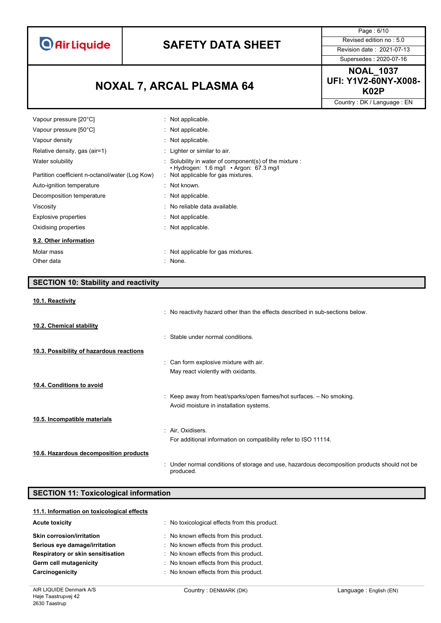# **SAFETY DATA SHEET** Revised edition no : 5.0

Page : 6/10 Supersedes : 2020-07-16

**K02P NOXAL 7, ARCAL PLASMA 64**

**NOAL\_1037 UFI: Y1V2-60NY-X008-**

Country : DK / Language : EN

| Vapour pressure [20°C]                          | : Not applicable.                                                                       |
|-------------------------------------------------|-----------------------------------------------------------------------------------------|
| Vapour pressure [50°C]                          | : Not applicable.                                                                       |
| Vapour density                                  | : Not applicable.                                                                       |
| Relative density, gas (air=1)                   | : Lighter or similar to air.                                                            |
| Water solubility                                | $\therefore$ Solubility in water of component(s) of the mixture $\therefore$            |
| Partition coefficient n-octanol/water (Log Kow) | $\cdot$ Hydrogen: 1.6 mg/l $\cdot$ Argon: 67.3 mg/l<br>Not applicable for gas mixtures. |
| Auto-ignition temperature                       | $\therefore$ Not known.                                                                 |
| Decomposition temperature                       | : Not applicable.                                                                       |
| Viscosity                                       | $\therefore$ No reliable data available.                                                |
| Explosive properties                            | : Not applicable.                                                                       |
| Oxidising properties                            | : Not applicable.                                                                       |
| 9.2. Other information                          |                                                                                         |
| Molar mass                                      | Not applicable for gas mixtures.                                                        |
| Other data                                      | : None.                                                                                 |

## **SECTION 10: Stability and reactivity**

#### **10.1. Reactivity**

|                                          | . No reactivity hazard other than the effects described in sub-sections below.                            |
|------------------------------------------|-----------------------------------------------------------------------------------------------------------|
| 10.2. Chemical stability                 |                                                                                                           |
|                                          | : Stable under normal conditions.                                                                         |
| 10.3. Possibility of hazardous reactions |                                                                                                           |
|                                          | : Can form explosive mixture with air.                                                                    |
|                                          | May react violently with oxidants.                                                                        |
| 10.4. Conditions to avoid                |                                                                                                           |
|                                          | : Keep away from heat/sparks/open flames/hot surfaces. $-$ No smoking.                                    |
|                                          | Avoid moisture in installation systems.                                                                   |
| 10.5. Incompatible materials             |                                                                                                           |
|                                          | : Air, Oxidisers.                                                                                         |
|                                          | For additional information on compatibility refer to ISO 11114.                                           |
| 10.6. Hazardous decomposition products   |                                                                                                           |
|                                          | : Under normal conditions of storage and use, hazardous decomposition products should not be<br>produced. |

### **SECTION 11: Toxicological information**

| 11.1. Information on toxicological effects |                                             |
|--------------------------------------------|---------------------------------------------|
| <b>Acute toxicity</b>                      | No toxicological effects from this product. |
| <b>Skin corrosion/irritation</b>           | No known effects from this product.         |
| Serious eye damage/irritation              | : No known effects from this product.       |
| Respiratory or skin sensitisation          | No known effects from this product.         |
| Germ cell mutagenicity                     | No known effects from this product.         |
| Carcinogenicity                            | : No known effects from this product.       |
|                                            |                                             |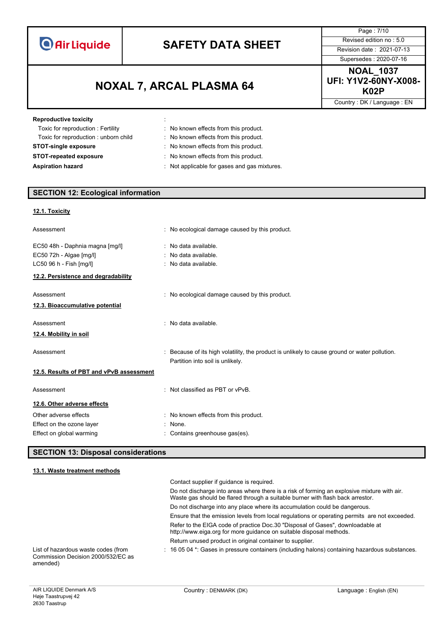# **SAFETY DATA SHEET** Revised edition no : 5.0

**K02P NOXAL 7, ARCAL PLASMA 64**

Page : 7/10 Supersedes : 2020-07-16

**NOAL\_1037 UFI: Y1V2-60NY-X008-**

Country : DK / Language : EN

| <b>Reproductive toxicity</b>         | ÷. |                                              |
|--------------------------------------|----|----------------------------------------------|
| Toxic for reproduction: Fertility    |    | : No known effects from this product.        |
| Toxic for reproduction: unborn child |    | : No known effects from this product.        |
| <b>STOT-single exposure</b>          |    | : No known effects from this product.        |
| <b>STOT-repeated exposure</b>        |    | : No known effects from this product.        |
| <b>Aspiration hazard</b>             |    | : Not applicable for gases and gas mixtures. |

# **SECTION 12: Ecological information**

### **12.1. Toxicity**

| Assessment                                                                                                                   | : No ecological damage caused by this product.                                                                                  |  |
|------------------------------------------------------------------------------------------------------------------------------|---------------------------------------------------------------------------------------------------------------------------------|--|
| EC50 48h - Daphnia magna [mg/l]<br>EC50 72h - Algae [mg/l]<br>LC50 96 h - Fish [mg/l]<br>12.2. Persistence and degradability | : No data available.<br>: No data available.<br>: No data available.                                                            |  |
| Assessment<br>12.3. Bioaccumulative potential                                                                                | : No ecological damage caused by this product.                                                                                  |  |
| Assessment                                                                                                                   | : No data available.                                                                                                            |  |
| <u>12.4. Mobility in soil</u>                                                                                                |                                                                                                                                 |  |
| Assessment                                                                                                                   | Because of its high volatility, the product is unlikely to cause ground or water pollution.<br>Partition into soil is unlikely. |  |
| 12.5. Results of PBT and vPvB assessment                                                                                     |                                                                                                                                 |  |
| Assessment                                                                                                                   | : Not classified as PBT or vPvB.                                                                                                |  |
| 12.6. Other adverse effects                                                                                                  |                                                                                                                                 |  |
| Other adverse effects                                                                                                        | : No known effects from this product.                                                                                           |  |
| Effect on the ozone layer                                                                                                    | : None.                                                                                                                         |  |
| Effect on global warming                                                                                                     | Contains greenhouse gas(es).                                                                                                    |  |

### **SECTION 13: Disposal considerations**

#### **13.1. Waste treatment methods**

|                                                                                       | Contact supplier if quidance is required.                                                                                                                                     |
|---------------------------------------------------------------------------------------|-------------------------------------------------------------------------------------------------------------------------------------------------------------------------------|
|                                                                                       | Do not discharge into areas where there is a risk of forming an explosive mixture with air.<br>Waste gas should be flared through a suitable burner with flash back arrestor. |
|                                                                                       | Do not discharge into any place where its accumulation could be dangerous.                                                                                                    |
|                                                                                       | Ensure that the emission levels from local regulations or operating permits are not exceeded.                                                                                 |
|                                                                                       | Refer to the EIGA code of practice Doc.30 "Disposal of Gases", downloadable at<br>http://www.eiga.org for more guidance on suitable disposal methods.                         |
|                                                                                       | Return unused product in original container to supplier.                                                                                                                      |
| List of hazardous waste codes (from<br>Commission Decision 2000/532/EC as<br>amended) | $\pm$ 16 05 04 $^*$ . Gases in pressure containers (including halons) containing hazardous substances.                                                                        |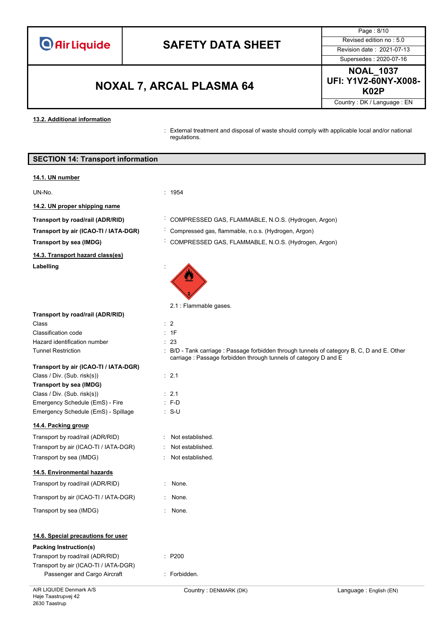# **SAFETY DATA SHEET** Revised edition no : 5.0

**K02P NOXAL 7, ARCAL PLASMA 64**

Page : 8/10 Supersedes : 2020-07-16

**NOAL\_1037 UFI: Y1V2-60NY-X008-**

Country : DK / Language : EN

**13.2. Additional information**

: External treatment and disposal of waste should comply with applicable local and/or national regulations.

| <b>SECTION 14: Transport information</b> |
|------------------------------------------|
|------------------------------------------|

#### **14.1. UN number**

#### UN-No. : 1954

**14.2. UN proper shipping name**

- **Transport by road/rail (ADR/RID)** : COMPRESSED GAS, FLAMMABLE, N.O.S. (Hydrogen, Argon)
- **Transport by air (ICAO-TI / IATA-DGR)** : Compressed gas, flammable, n.o.s. (Hydrogen, Argon)

## **Transport by sea (IMDG)** : COMPRESSED GAS, FLAMMABLE, N.O.S. (Hydrogen, Argon)

**14.3. Transport hazard class(es)**

#### Labelling

| the contract of the contract of                                                                                                 |  |
|---------------------------------------------------------------------------------------------------------------------------------|--|
|                                                                                                                                 |  |
| $\mathcal{L}^{\text{max}}_{\text{max}}$ and $\mathcal{L}^{\text{max}}_{\text{max}}$ and $\mathcal{L}^{\text{max}}_{\text{max}}$ |  |

2.1 : Flammable gases.

 $P200$ 

: Forbidden.

**Transport by Riddy** road<sub>1</sub> : Not established. : Not established.

carriage : Passage forbidden through tunnels of category D and E

**Transport by road/rail (ADR/RID)**

#### Class : 2 Classification code : 1F Hazard identification number : 23 Tunnel Restriction : B/D - Tank carriage : Passage forbidden through tunnels of category B, C, D and E. Other

# **Transport by air (ICAO-TI / IATA-DGR)**

| Class / Div. (Sub. risk(s))         | $\therefore$ 2.1 |
|-------------------------------------|------------------|
| Transport by sea (IMDG)             |                  |
| Class / Div. (Sub. risk(s))         | $\cdot$ 21       |
| Emergency Schedule (EmS) - Fire     | $: F-D$          |
| Emergency Schedule (EmS) - Spillage | : S-U            |

### **14.4. Packing group**

| Transport by road/rail (ADR/RID)      |
|---------------------------------------|
| Transport by air (ICAO-TI / IATA-DGR) |
| Transport by sea (IMDG)               |

### **14.5. Environmental hazards**

| Transport by road/rail (ADR/RID)      | : None. |
|---------------------------------------|---------|
| Transport by air (ICAO-TI / IATA-DGR) | None.   |

# Transport by sea (IMDG) **in the set of the set of the set of the set of the set of the set of the set of the set of the set of the set of the set of the set of the set of the set of the set of the set of the set of the set**

## **14.6. Special precautions for user**

### **Packing Instruction(s)**

| Transport by road/rail (ADR/RID)      |
|---------------------------------------|
| Transport by air (ICAO-TI / IATA-DGR) |
| Passenger and Cargo Aircraft          |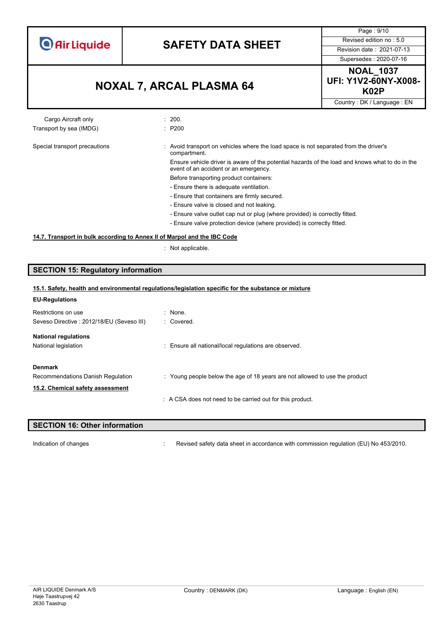

Page : 9/10

# **K02P NOXAL 7, ARCAL PLASMA 64**

Supersedes : 2020-07-16 **NOAL\_1037 UFI: Y1V2-60NY-X008-**

Country : DK / Language : EN

#### Cargo Aircraft only **Example 200.** 200. Transport by sea (IMDG)  $\qquad \qquad$ : P200

#### Special transport precautions : Avoid transport on vehicles where the load space is not separated from the driver's compartment. Ensure vehicle driver is aware of the potential hazards of the load and knows what to do in the

event of an accident or an emergency. Before transporting product containers:

- Ensure there is adequate ventilation.
- Ensure that containers are firmly secured.
- Ensure valve is closed and not leaking.
- Ensure valve outlet cap nut or plug (where provided) is correctly fitted.
- Ensure valve protection device (where provided) is correctly fitted.

#### **14.7. Transport in bulk according to Annex II of Marpol and the IBC Code**

: Not applicable.

### **SECTION 15: Regulatory information**

| 15.1. Safety, health and environmental regulations/legislation specific for the substance or mixture |                                                                             |  |
|------------------------------------------------------------------------------------------------------|-----------------------------------------------------------------------------|--|
| <b>EU-Regulations</b>                                                                                |                                                                             |  |
| Restrictions on use                                                                                  | : None.                                                                     |  |
| Seveso Directive: 2012/18/EU (Seveso III)                                                            | : Covered.                                                                  |  |
| <b>National regulations</b>                                                                          |                                                                             |  |
| National legislation                                                                                 | : Ensure all national/local regulations are observed.                       |  |
| <b>Denmark</b>                                                                                       |                                                                             |  |
| Recommendations Danish Regulation                                                                    | : Young people below the age of 18 years are not allowed to use the product |  |
| 15.2. Chemical safety assessment                                                                     |                                                                             |  |
|                                                                                                      | A CSA does not need to be carried out for this product.                     |  |
|                                                                                                      |                                                                             |  |

# **SECTION 16: Other information**

Indication of changes **in the visible of the CO** is revised safety data sheet in accordance with commission regulation (EU) No 453/2010.